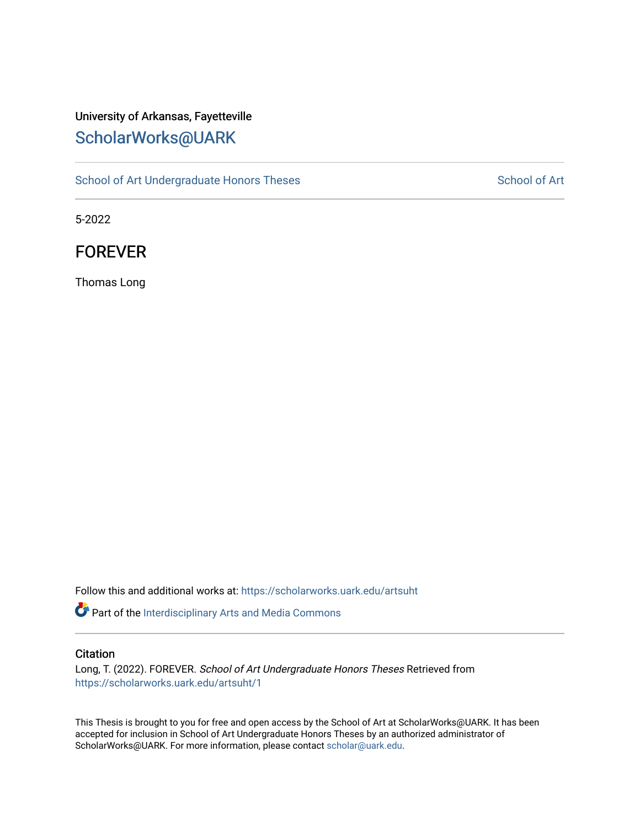#### University of Arkansas, Fayetteville [ScholarWorks@UARK](https://scholarworks.uark.edu/)

[School of Art Undergraduate Honors Theses](https://scholarworks.uark.edu/artsuht) [School of Art](https://scholarworks.uark.edu/arts) School of Art

5-2022

FOREVER

Thomas Long

Follow this and additional works at: [https://scholarworks.uark.edu/artsuht](https://scholarworks.uark.edu/artsuht?utm_source=scholarworks.uark.edu%2Fartsuht%2F1&utm_medium=PDF&utm_campaign=PDFCoverPages)

Part of the [Interdisciplinary Arts and Media Commons](http://network.bepress.com/hgg/discipline/1137?utm_source=scholarworks.uark.edu%2Fartsuht%2F1&utm_medium=PDF&utm_campaign=PDFCoverPages) 

#### **Citation**

Long, T. (2022). FOREVER. School of Art Undergraduate Honors Theses Retrieved from [https://scholarworks.uark.edu/artsuht/1](https://scholarworks.uark.edu/artsuht/1?utm_source=scholarworks.uark.edu%2Fartsuht%2F1&utm_medium=PDF&utm_campaign=PDFCoverPages) 

This Thesis is brought to you for free and open access by the School of Art at ScholarWorks@UARK. It has been accepted for inclusion in School of Art Undergraduate Honors Theses by an authorized administrator of ScholarWorks@UARK. For more information, please contact [scholar@uark.edu](mailto:scholar@uark.edu).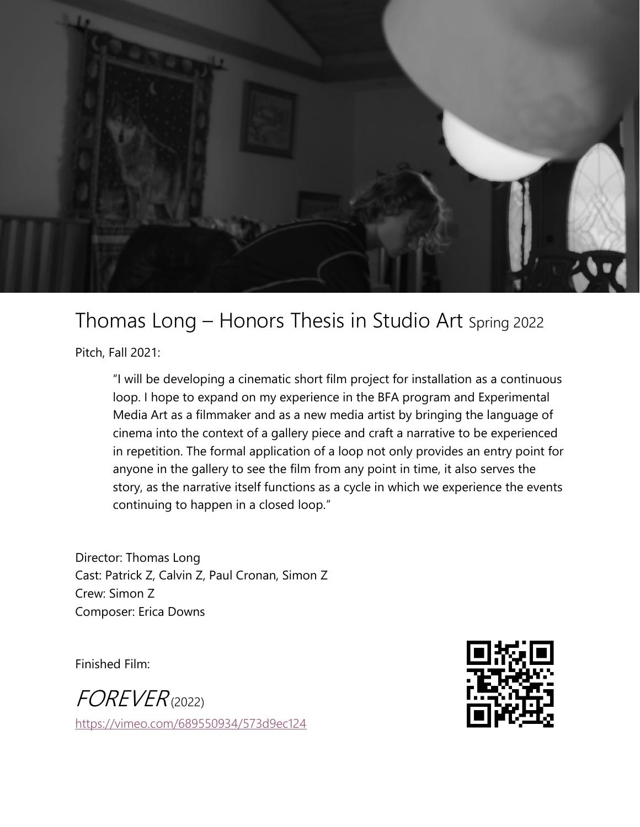

### Thomas Long – Honors Thesis in Studio Art Spring 2022

Pitch, Fall 2021:

"I will be developing a cinematic short film project for installation as a continuous loop. I hope to expand on my experience in the BFA program and Experimental Media Art as a filmmaker and as a new media artist by bringing the language of cinema into the context of a gallery piece and craft a narrative to be experienced in repetition. The formal application of a loop not only provides an entry point for anyone in the gallery to see the film from any point in time, it also serves the story, as the narrative itself functions as a cycle in which we experience the events continuing to happen in a closed loop."

Director: Thomas Long Cast: Patrick Z, Calvin Z, Paul Cronan, Simon Z Crew: Simon Z Composer: Erica Downs

Finished Film:

FOREVER (2022)

<https://vimeo.com/689550934/573d9ec124>

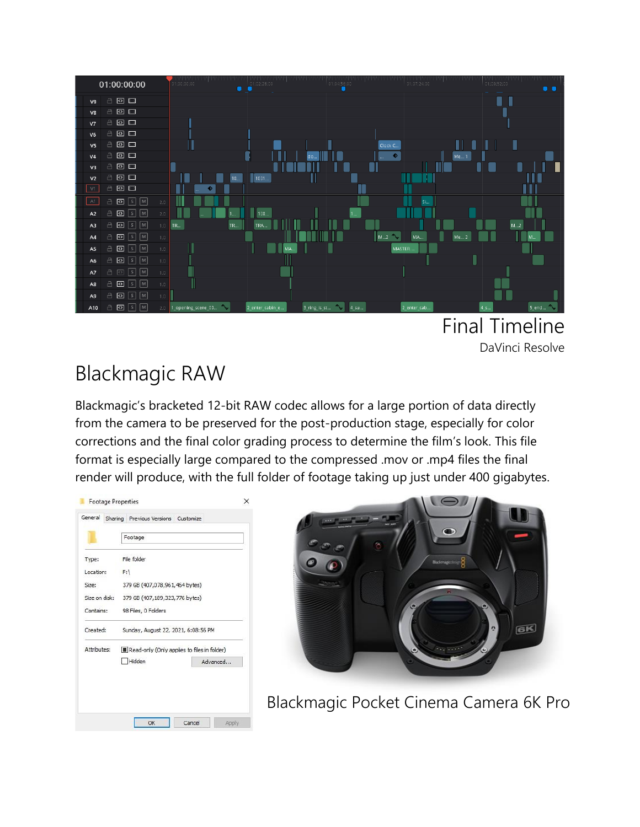|                | 01:00:00:00                                         | 01:00:00:00                 | 01:02:28:00<br>$\bullet$ | 01:04:56:00<br>⊓       | 01:07:24:00 | 01:09:52:00<br>$\bullet$ $\bullet$ |
|----------------|-----------------------------------------------------|-----------------------------|--------------------------|------------------------|-------------|------------------------------------|
| V9             | 8 3 8 8                                             |                             |                          |                        |             | I                                  |
| V8             | 8 ◎ □                                               |                             |                          |                        |             |                                    |
| V <sub>7</sub> | 8 ◎ □                                               |                             |                          |                        |             |                                    |
| V <sub>6</sub> | 8 Ø □                                               |                             |                          |                        |             |                                    |
| V <sub>5</sub> | 800                                                 |                             |                          | Clock C                |             |                                    |
| V <sub>4</sub> | 8 ◎ □                                               |                             | do.                      | $\bullet$              | Me 1        |                                    |
| V3             | 8 ◎ □                                               |                             |                          |                        |             |                                    |
| V <sub>2</sub> | 8 ◎ □                                               | 10                          | 1001                     |                        |             |                                    |
| V1             | 800                                                 | $\bullet$                   |                          |                        |             |                                    |
| A1             | $A \bullet \boxed{S}$                               | Ш<br>2.0                    |                          |                        | <b>Si</b>   |                                    |
| A <sub>2</sub> | $A \n  ② \n  ③ \n  ④$                               | 2.0                         | 100                      | 1                      |             |                                    |
| A3             | $A \n[S]$ $M$                                       | 1.0<br>TR<br><b>TR</b>      | TRA                      |                        |             | M2                                 |
| A4             | $A \nB$ $B \nB$                                     | 1.0                         |                          | M2 ~                   | MA.<br>Me 2 |                                    |
| A <sub>5</sub> | $A \n  5 \n  M$                                     | 1.0                         | MA.                      | MASTER.                |             |                                    |
| A <sub>6</sub> | $A \n  ② \n  ③ \n  ④$                               | 1.0                         |                          |                        |             |                                    |
| A7             | $A \n  B \n  D$                                     | 1.0                         |                          |                        |             |                                    |
| A8             | $A \n[S]$ $M$                                       | 1.0                         |                          |                        |             |                                    |
| A9             | $\ominus$ 0 $\stackrel{[3]}{0}$ $\stackrel{[3]}{0}$ | 1.0                         |                          |                        |             |                                    |
| A10            | $\boxed{0}$ $\boxed{s}$ $\boxed{M}$<br>a            | 1_opening_scene_00 ~<br>2.0 | 2_enter_cabin_e          | 3_ring_is_st \<br>4_su | 2_enter_cab | $5$ _end<br>$4_s$ .                |
|                |                                                     |                             |                          |                        | — .         | $\blacksquare$<br>--               |

Final Timeline DaVinci Resolve

## Blackmagic RAW

Blackmagic's bracketed 12-bit RAW codec allows for a large portion of data directly from the camera to be preserved for the post-production stage, especially for color corrections and the final color grading process to determine the film's look. This file format is especially large compared to the compressed .mov or .mp4 files the final render will produce, with the full folder of footage taking up just under 400 gigabytes.

|               | Sharing Previous Versions Customize |                                             |  |  |  |
|---------------|-------------------------------------|---------------------------------------------|--|--|--|
|               | Footage                             |                                             |  |  |  |
| Type:         | File folder                         |                                             |  |  |  |
| Location:     | $F:\$                               |                                             |  |  |  |
| Size:         | 379 GB (407,078,961,464 bytes)      |                                             |  |  |  |
| Size on disk: | 379 GB (407, 189, 323, 776 bytes)   |                                             |  |  |  |
| Contains:     | 98 Files, 0 Folders                 |                                             |  |  |  |
| Created:      | Sunday, August 22, 2021, 6:08:56 PM |                                             |  |  |  |
| Attributes:   |                                     | Read-only (Only applies to files in folder) |  |  |  |
|               | Hidden                              | Advanced                                    |  |  |  |



Blackmagic Pocket Cinema Camera 6K Pro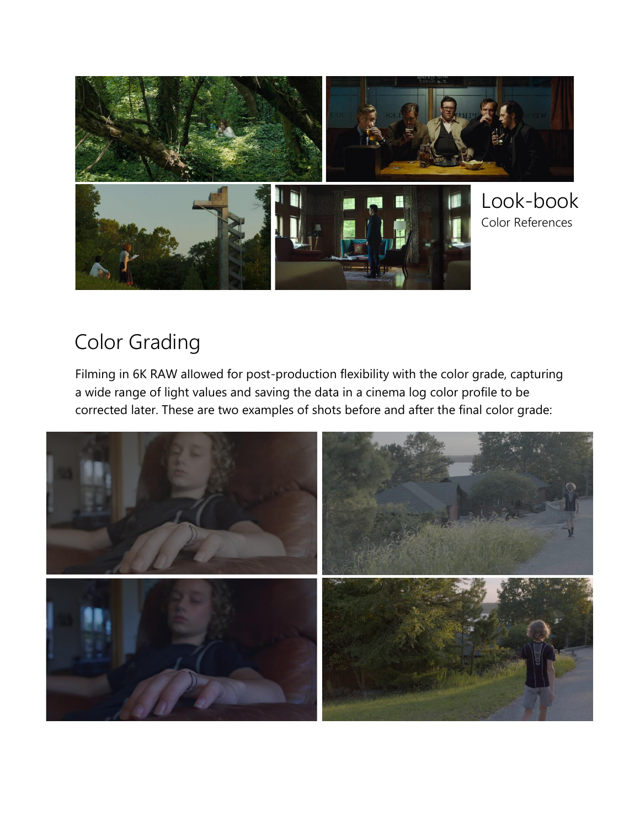

# Color Grading

Filming in 6K RAW allowed for post-production flexibility with the color grade, capturing a wide range of light values and saving the data in a cinema log color profile to be corrected later. These are two examples of shots before and after the final color grade:

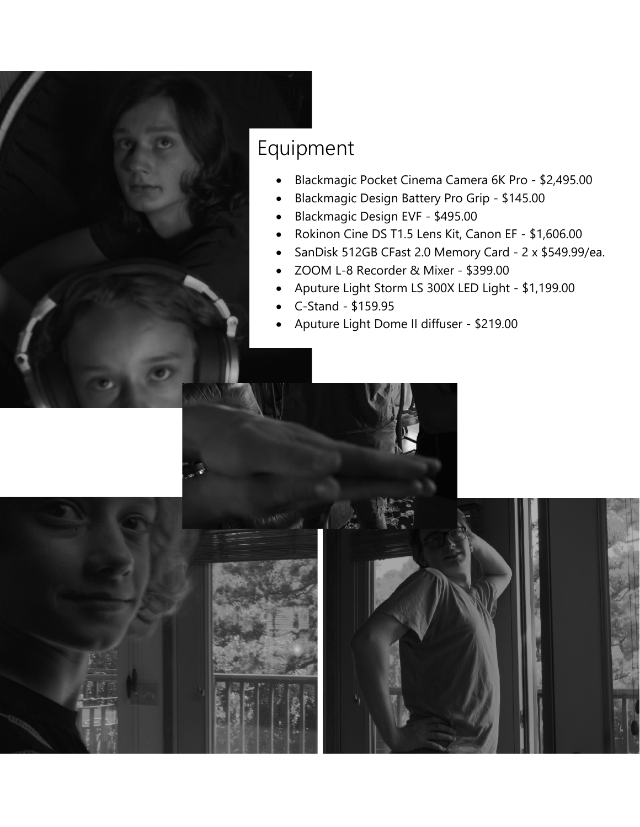

# Equipment

- Blackmagic Pocket Cinema Camera 6K Pro \$2,495.00
- Blackmagic Design Battery Pro Grip \$145.00
- Blackmagic Design EVF \$495.00
- Rokinon Cine DS T1.5 Lens Kit, Canon EF \$1,606.00
- SanDisk 512GB CFast 2.0 Memory Card 2 x \$549.99/ea.
- ZOOM L-8 Recorder & Mixer \$399.00
- Aputure Light Storm LS 300X LED Light \$1,199.00
- C-Stand \$159.95
- Aputure Light Dome II diffuser \$219.00